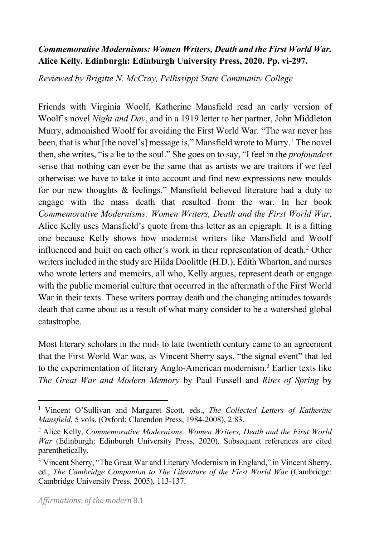## *Commemorative Modernisms: Women Writers, Death and the First World War.* **Alice Kelly. Edinburgh: Edinburgh University Press, 2020. Pp. vi-297.**

*Reviewed by Brigitte N. McCray, Pellissippi State Community College*

Friends with Virginia Woolf, Katherine Mansfield read an early version of Woolf's novel *Night and Day*, and in a 1919 letter to her partner, John Middleton Murry, admonished Woolf for avoiding the First World War. "The war never has been, that is what [the novel's] message is," Mansfield wrote to Murry.<sup>1</sup> The novel then, she writes, "is a lie to the soul." She goes on to say, "I feel in the *profoundest* sense that nothing can ever be the same that as artists we are traitors if we feel otherwise: we have to take it into account and find new expressions new moulds for our new thoughts & feelings." Mansfield believed literature had a duty to engage with the mass death that resulted from the war. In her book *Commemorative Modernisms: Women Writers, Death and the First World War*, Alice Kelly uses Mansfield's quote from this letter as an epigraph. It is a fitting one because Kelly shows how modernist writers like Mansfield and Woolf influenced and built on each other's work in their representation of death.2 Other writers included in the study are Hilda Doolittle (H.D.), Edith Wharton, and nurses who wrote letters and memoirs, all who, Kelly argues, represent death or engage with the public memorial culture that occurred in the aftermath of the First World War in their texts. These writers portray death and the changing attitudes towards death that came about as a result of what many consider to be a watershed global catastrophe.

Most literary scholars in the mid- to late twentieth century came to an agreement that the First World War was, as Vincent Sherry says, "the signal event" that led to the experimentation of literary Anglo-American modernism.3 Earlier texts like *The Great War and Modern Memory* by Paul Fussell and *Rites of Spring* by

<sup>1</sup> Vincent O'Sullivan and Margaret Scott, eds., *The Collected Letters of Katherine Mansfield*, 5 vols. (Oxford: Clarendon Press, 1984-2008), 2:83.

<sup>2</sup> Alice Kelly, *Commemorative Modernisms: Women Writers, Death and the First World War* (Edinburgh: Edinburgh University Press, 2020). Subsequent references are cited parenthetically.

<sup>3</sup> Vincent Sherry, "The Great War and Literary Modernism in England," in Vincent Sherry, ed., *The Cambridge Companion to The Literature of the First World War* (Cambridge: Cambridge University Press, 2005), 113-137.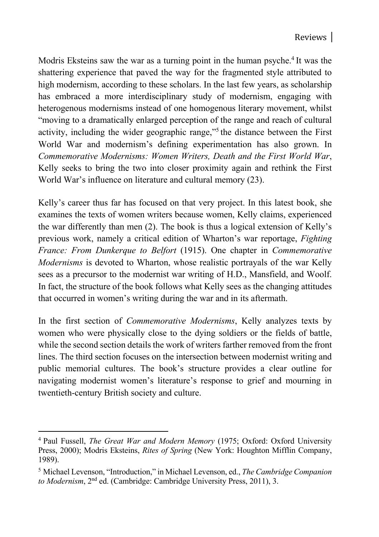Modris Eksteins saw the war as a turning point in the human psyche.<sup>4</sup> It was the shattering experience that paved the way for the fragmented style attributed to high modernism, according to these scholars. In the last few years, as scholarship has embraced a more interdisciplinary study of modernism, engaging with heterogenous modernisms instead of one homogenous literary movement, whilst "moving to a dramatically enlarged perception of the range and reach of cultural activity, including the wider geographic range,"5 the distance between the First World War and modernism's defining experimentation has also grown. In *Commemorative Modernisms: Women Writers, Death and the First World War*, Kelly seeks to bring the two into closer proximity again and rethink the First World War's influence on literature and cultural memory (23).

Kelly's career thus far has focused on that very project. In this latest book, she examines the texts of women writers because women, Kelly claims, experienced the war differently than men (2). The book is thus a logical extension of Kelly's previous work, namely a critical edition of Wharton's war reportage, *Fighting France: From Dunkerque to Belfort* (1915). One chapter in *Commemorative Modernisms* is devoted to Wharton, whose realistic portrayals of the war Kelly sees as a precursor to the modernist war writing of H.D., Mansfield, and Woolf. In fact, the structure of the book follows what Kelly sees as the changing attitudes that occurred in women's writing during the war and in its aftermath.

In the first section of *Commemorative Modernisms*, Kelly analyzes texts by women who were physically close to the dying soldiers or the fields of battle, while the second section details the work of writers farther removed from the front lines. The third section focuses on the intersection between modernist writing and public memorial cultures. The book's structure provides a clear outline for navigating modernist women's literature's response to grief and mourning in twentieth-century British society and culture.

<sup>4</sup> Paul Fussell, *The Great War and Modern Memory* (1975; Oxford: Oxford University Press, 2000); Modris Eksteins, *Rites of Spring* (New York: Houghton Mifflin Company, 1989).

<sup>5</sup> Michael Levenson, "Introduction," in Michael Levenson, ed., *The Cambridge Companion to Modernism*, 2nd ed. (Cambridge: Cambridge University Press, 2011), 3.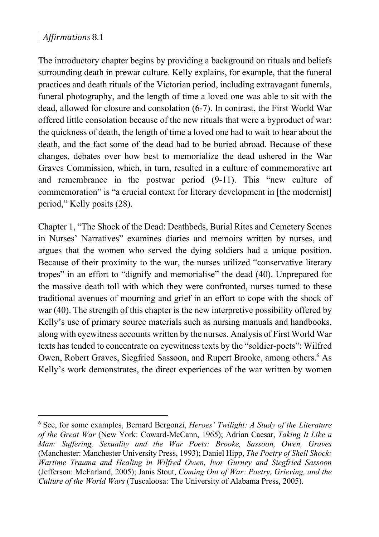## *Affirmations* 8.1

The introductory chapter begins by providing a background on rituals and beliefs surrounding death in prewar culture. Kelly explains, for example, that the funeral practices and death rituals of the Victorian period, including extravagant funerals, funeral photography, and the length of time a loved one was able to sit with the dead, allowed for closure and consolation (6-7). In contrast, the First World War offered little consolation because of the new rituals that were a byproduct of war: the quickness of death, the length of time a loved one had to wait to hear about the death, and the fact some of the dead had to be buried abroad. Because of these changes, debates over how best to memorialize the dead ushered in the War Graves Commission, which, in turn, resulted in a culture of commemorative art and remembrance in the postwar period (9-11). This "new culture of commemoration" is "a crucial context for literary development in [the modernist] period," Kelly posits (28).

Chapter 1, "The Shock of the Dead: Deathbeds, Burial Rites and Cemetery Scenes in Nurses' Narratives" examines diaries and memoirs written by nurses, and argues that the women who served the dying soldiers had a unique position. Because of their proximity to the war, the nurses utilized "conservative literary tropes" in an effort to "dignify and memorialise" the dead (40). Unprepared for the massive death toll with which they were confronted, nurses turned to these traditional avenues of mourning and grief in an effort to cope with the shock of war (40). The strength of this chapter is the new interpretive possibility offered by Kelly's use of primary source materials such as nursing manuals and handbooks, along with eyewitness accounts written by the nurses. Analysis of First World War texts has tended to concentrate on eyewitness texts by the "soldier-poets": Wilfred Owen, Robert Graves, Siegfried Sassoon, and Rupert Brooke, among others.<sup>6</sup> As Kelly's work demonstrates, the direct experiences of the war written by women

<sup>6</sup> See, for some examples, Bernard Bergonzi, *Heroes' Twilight: A Study of the Literature of the Great War* (New York: Coward-McCann, 1965); Adrian Caesar, *Taking It Like a Man: Suffering, Sexuality and the War Poets: Brooke, Sassoon, Owen, Graves* (Manchester: Manchester University Press, 1993); Daniel Hipp, *The Poetry of Shell Shock: Wartime Trauma and Healing in Wilfred Owen, Ivor Gurney and Siegfried Sassoon* (Jefferson: McFarland, 2005); Janis Stout, *Coming Out of War: Poetry, Grieving, and the Culture of the World Wars* (Tuscaloosa: The University of Alabama Press, 2005).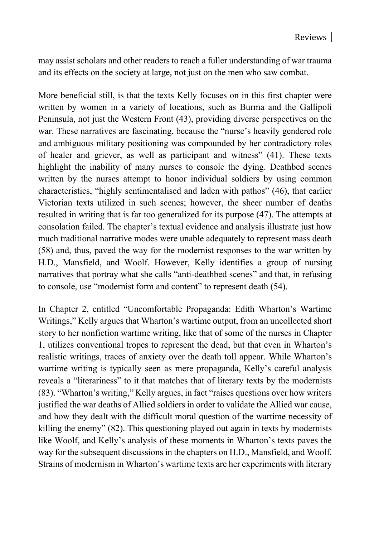may assist scholars and other readers to reach a fuller understanding of war trauma and its effects on the society at large, not just on the men who saw combat.

More beneficial still, is that the texts Kelly focuses on in this first chapter were written by women in a variety of locations, such as Burma and the Gallipoli Peninsula, not just the Western Front (43), providing diverse perspectives on the war. These narratives are fascinating, because the "nurse's heavily gendered role and ambiguous military positioning was compounded by her contradictory roles of healer and griever, as well as participant and witness" (41). These texts highlight the inability of many nurses to console the dying. Deathbed scenes written by the nurses attempt to honor individual soldiers by using common characteristics, "highly sentimentalised and laden with pathos" (46), that earlier Victorian texts utilized in such scenes; however, the sheer number of deaths resulted in writing that is far too generalized for its purpose (47). The attempts at consolation failed. The chapter's textual evidence and analysis illustrate just how much traditional narrative modes were unable adequately to represent mass death (58) and, thus, paved the way for the modernist responses to the war written by H.D., Mansfield, and Woolf. However, Kelly identifies a group of nursing narratives that portray what she calls "anti-deathbed scenes" and that, in refusing to console, use "modernist form and content" to represent death (54).

In Chapter 2, entitled "Uncomfortable Propaganda: Edith Wharton's Wartime Writings," Kelly argues that Wharton's wartime output, from an uncollected short story to her nonfiction wartime writing, like that of some of the nurses in Chapter 1, utilizes conventional tropes to represent the dead, but that even in Wharton's realistic writings, traces of anxiety over the death toll appear. While Wharton's wartime writing is typically seen as mere propaganda, Kelly's careful analysis reveals a "literariness" to it that matches that of literary texts by the modernists (83). "Wharton's writing," Kelly argues, in fact "raises questions over how writers justified the war deaths of Allied soldiers in order to validate the Allied war cause, and how they dealt with the difficult moral question of the wartime necessity of killing the enemy" (82). This questioning played out again in texts by modernists like Woolf, and Kelly's analysis of these moments in Wharton's texts paves the way for the subsequent discussions in the chapters on H.D., Mansfield, and Woolf. Strains of modernism in Wharton's wartime texts are her experiments with literary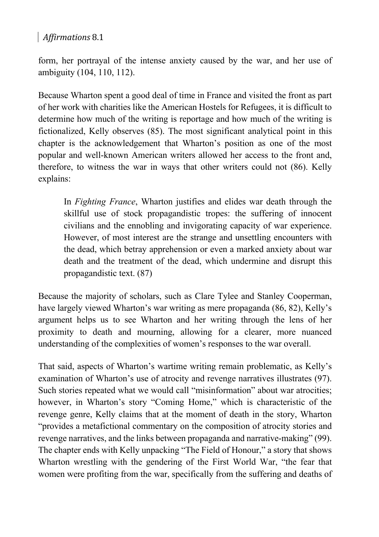## *Affirmations* 8.1

form, her portrayal of the intense anxiety caused by the war, and her use of ambiguity (104, 110, 112).

Because Wharton spent a good deal of time in France and visited the front as part of her work with charities like the American Hostels for Refugees, it is difficult to determine how much of the writing is reportage and how much of the writing is fictionalized, Kelly observes (85). The most significant analytical point in this chapter is the acknowledgement that Wharton's position as one of the most popular and well-known American writers allowed her access to the front and, therefore, to witness the war in ways that other writers could not (86). Kelly explains:

In *Fighting France*, Wharton justifies and elides war death through the skillful use of stock propagandistic tropes: the suffering of innocent civilians and the ennobling and invigorating capacity of war experience. However, of most interest are the strange and unsettling encounters with the dead, which betray apprehension or even a marked anxiety about war death and the treatment of the dead, which undermine and disrupt this propagandistic text. (87)

Because the majority of scholars, such as Clare Tylee and Stanley Cooperman, have largely viewed Wharton's war writing as mere propaganda (86, 82), Kelly's argument helps us to see Wharton and her writing through the lens of her proximity to death and mourning, allowing for a clearer, more nuanced understanding of the complexities of women's responses to the war overall.

That said, aspects of Wharton's wartime writing remain problematic, as Kelly's examination of Wharton's use of atrocity and revenge narratives illustrates (97). Such stories repeated what we would call "misinformation" about war atrocities; however, in Wharton's story "Coming Home," which is characteristic of the revenge genre, Kelly claims that at the moment of death in the story, Wharton "provides a metafictional commentary on the composition of atrocity stories and revenge narratives, and the links between propaganda and narrative-making" (99). The chapter ends with Kelly unpacking "The Field of Honour," a story that shows Wharton wrestling with the gendering of the First World War, "the fear that women were profiting from the war, specifically from the suffering and deaths of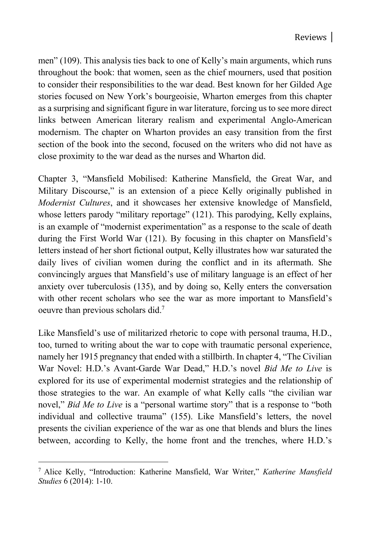men" (109). This analysis ties back to one of Kelly's main arguments, which runs throughout the book: that women, seen as the chief mourners, used that position to consider their responsibilities to the war dead. Best known for her Gilded Age stories focused on New York's bourgeoisie, Wharton emerges from this chapter as a surprising and significant figure in war literature, forcing us to see more direct links between American literary realism and experimental Anglo-American modernism. The chapter on Wharton provides an easy transition from the first section of the book into the second, focused on the writers who did not have as close proximity to the war dead as the nurses and Wharton did.

Chapter 3, "Mansfield Mobilised: Katherine Mansfield, the Great War, and Military Discourse," is an extension of a piece Kelly originally published in *Modernist Cultures*, and it showcases her extensive knowledge of Mansfield, whose letters parody "military reportage" (121). This parodying, Kelly explains, is an example of "modernist experimentation" as a response to the scale of death during the First World War (121). By focusing in this chapter on Mansfield's letters instead of her short fictional output, Kelly illustrates how war saturated the daily lives of civilian women during the conflict and in its aftermath. She convincingly argues that Mansfield's use of military language is an effect of her anxiety over tuberculosis (135), and by doing so, Kelly enters the conversation with other recent scholars who see the war as more important to Mansfield's oeuvre than previous scholars did.7

Like Mansfield's use of militarized rhetoric to cope with personal trauma, H.D., too, turned to writing about the war to cope with traumatic personal experience, namely her 1915 pregnancy that ended with a stillbirth. In chapter 4, "The Civilian War Novel: H.D.'s Avant-Garde War Dead," H.D.'s novel *Bid Me to Live* is explored for its use of experimental modernist strategies and the relationship of those strategies to the war. An example of what Kelly calls "the civilian war novel," *Bid Me to Live* is a "personal wartime story" that is a response to "both individual and collective trauma" (155). Like Mansfield's letters, the novel presents the civilian experience of the war as one that blends and blurs the lines between, according to Kelly, the home front and the trenches, where H.D.'s

<sup>7</sup> Alice Kelly, "Introduction: Katherine Mansfield, War Writer," *Katherine Mansfield Studies* 6 (2014): 1-10.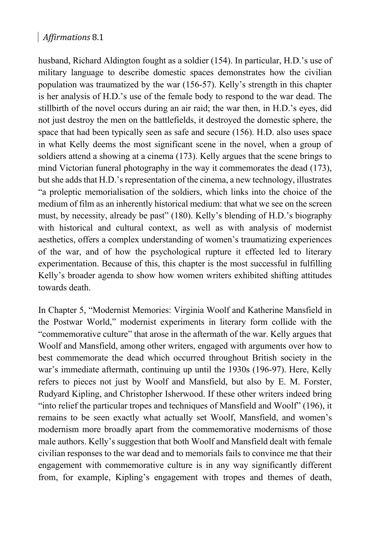## *Affirmations* 8.1

husband, Richard Aldington fought as a soldier (154). In particular, H.D.'s use of military language to describe domestic spaces demonstrates how the civilian population was traumatized by the war (156-57). Kelly's strength in this chapter is her analysis of H.D.'s use of the female body to respond to the war dead. The stillbirth of the novel occurs during an air raid; the war then, in H.D.'s eyes, did not just destroy the men on the battlefields, it destroyed the domestic sphere, the space that had been typically seen as safe and secure (156). H.D. also uses space in what Kelly deems the most significant scene in the novel, when a group of soldiers attend a showing at a cinema (173). Kelly argues that the scene brings to mind Victorian funeral photography in the way it commemorates the dead (173), but she adds that H.D.'s representation of the cinema, a new technology, illustrates "a proleptic memorialisation of the soldiers, which links into the choice of the medium of film as an inherently historical medium: that what we see on the screen must, by necessity, already be past" (180). Kelly's blending of H.D.'s biography with historical and cultural context, as well as with analysis of modernist aesthetics, offers a complex understanding of women's traumatizing experiences of the war, and of how the psychological rupture it effected led to literary experimentation. Because of this, this chapter is the most successful in fulfilling Kelly's broader agenda to show how women writers exhibited shifting attitudes towards death.

In Chapter 5, "Modernist Memories: Virginia Woolf and Katherine Mansfield in the Postwar World," modernist experiments in literary form collide with the "commemorative culture" that arose in the aftermath of the war. Kelly argues that Woolf and Mansfield, among other writers, engaged with arguments over how to best commemorate the dead which occurred throughout British society in the war's immediate aftermath, continuing up until the 1930s (196-97). Here, Kelly refers to pieces not just by Woolf and Mansfield, but also by E. M. Forster, Rudyard Kipling, and Christopher Isherwood. If these other writers indeed bring "into relief the particular tropes and techniques of Mansfield and Woolf" (196), it remains to be seen exactly what actually set Woolf, Mansfield, and women's modernism more broadly apart from the commemorative modernisms of those male authors. Kelly's suggestion that both Woolf and Mansfield dealt with female civilian responses to the war dead and to memorials fails to convince me that their engagement with commemorative culture is in any way significantly different from, for example, Kipling's engagement with tropes and themes of death,